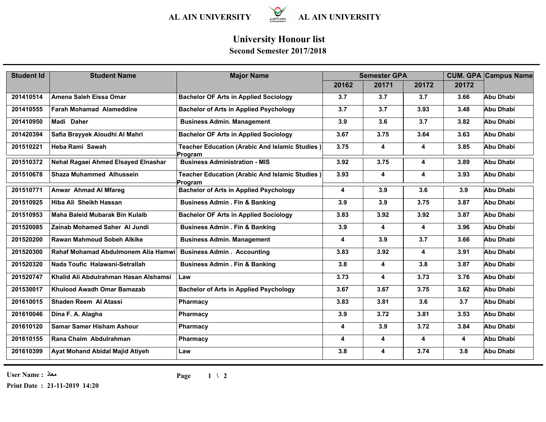

## **University Honour list**

## **Second Semester 2017/2018**

| <b>Student Id</b> | <b>Student Name</b>                   | <b>Major Name</b>                                         | <b>Semester GPA</b>     |       |       |       | <b>CUM. GPA Campus Name</b> |  |
|-------------------|---------------------------------------|-----------------------------------------------------------|-------------------------|-------|-------|-------|-----------------------------|--|
|                   |                                       |                                                           | 20162                   | 20171 | 20172 | 20172 |                             |  |
| 201410514         | Amena Saleh Eissa Omar                | <b>Bachelor OF Arts in Applied Sociology</b>              | 3.7                     | 3.7   | 3.7   | 3.66  | Abu Dhabi                   |  |
| 201410555         | <b>Farah Mohamad Alameddine</b>       | <b>Bachelor of Arts in Applied Psychology</b>             | 3.7                     | 3.7   | 3.93  | 3.48  | <b>Abu Dhabi</b>            |  |
| 201410950         | Madi Daher                            | <b>Business Admin. Management</b>                         | 3.9                     | 3.6   | 3.7   | 3.82  | <b>Abu Dhabi</b>            |  |
| 201420394         | Safia Brayyek Aloudhi Al Mahri        | <b>Bachelor OF Arts in Applied Sociology</b>              | 3.67                    | 3.75  | 3.64  | 3.63  | <b>Abu Dhabi</b>            |  |
| 201510221         | Heba Rami Sawah                       | Teacher Education (Arabic And Islamic Studies)<br>Program | 3.75                    | 4     | 4     | 3.85  | Abu Dhabi                   |  |
| 201510372         | Nehal Ragaei Ahmed Elsayed Elnashar   | <b>Business Administration - MIS</b>                      | 3.92                    | 3.75  | 4     | 3.89  | Abu Dhabi                   |  |
| 201510678         | <b>Shaza Muhammed Alhussein</b>       | Teacher Education (Arabic And Islamic Studies)<br>Program | 3.93                    | 4     | 4     | 3.93  | Abu Dhabi                   |  |
| 201510771         | Anwar Ahmad Al Mfareg                 | <b>Bachelor of Arts in Applied Psychology</b>             | $\overline{\mathbf{4}}$ | 3.9   | 3.6   | 3.9   | Abu Dhabi                   |  |
| 201510925         | Hiba Ali Sheikh Hassan                | <b>Business Admin . Fin &amp; Banking</b>                 | 3.9                     | 3.9   | 3.75  | 3.87  | <b>Abu Dhabi</b>            |  |
| 201510953         | <b>Maha Baleid Mubarak Bin Kulaib</b> | <b>Bachelor OF Arts in Applied Sociology</b>              | 3.83                    | 3.92  | 3.92  | 3.87  | <b>Abu Dhabi</b>            |  |
| 201520085         | Zainab Mohamed Saher Al Jundi         | <b>Business Admin . Fin &amp; Banking</b>                 | 3.9                     | 4     | 4     | 3.96  | <b>Abu Dhabi</b>            |  |
| 201520200         | Rawan Mahmoud Sobeh Alkike            | <b>Business Admin. Management</b>                         | 4                       | 3.9   | 3.7   | 3.66  | Abu Dhabi                   |  |
| 201520300         | Rahaf Mohamad Abdulmonem Alia Hamwi   | <b>Business Admin . Accounting</b>                        | 3.83                    | 3.92  | 4     | 3.91  | Abu Dhabi                   |  |
| 201520320         | Nada Toufic Halawani-Setrallah        | <b>Business Admin . Fin &amp; Banking</b>                 | 3.8                     | 4     | 3.8   | 3.87  | <b>Abu Dhabi</b>            |  |
| 201520747         | Khalid Ali Abdulrahman Hasan Alshamsi | Law                                                       | 3.73                    | 4     | 3.73  | 3.76  | Abu Dhabi                   |  |
| 201530017         | Khulood Awadh Omar Bamazab            | <b>Bachelor of Arts in Applied Psychology</b>             | 3.67                    | 3.67  | 3.75  | 3.62  | Abu Dhabi                   |  |
| 201610015         | Shaden Reem Al Atassi                 | Pharmacy                                                  | 3.83                    | 3.81  | 3.6   | 3.7   | Abu Dhabi                   |  |
| 201610046         | Dina F. A. Alagha                     | Pharmacy                                                  | 3.9                     | 3.72  | 3.81  | 3.53  | Abu Dhabi                   |  |
| 201610120         | <b>Samar Samer Hisham Ashour</b>      | Pharmacy                                                  | 4                       | 3.9   | 3.72  | 3.84  | Abu Dhabi                   |  |
| 201610155         | Rana Chaim Abdulrahman                | Pharmacy                                                  | 4                       | 4     | 4     | 4     | Abu Dhabi                   |  |
| 201610399         | Ayat Mohand Abidal Majid Atiyeh       | Law                                                       | 3.8                     | 4     | 3.74  | 3.8   | Abu Dhabi                   |  |

**User Name : معاذ**

**Print Date : 21-11-2019 14:20**